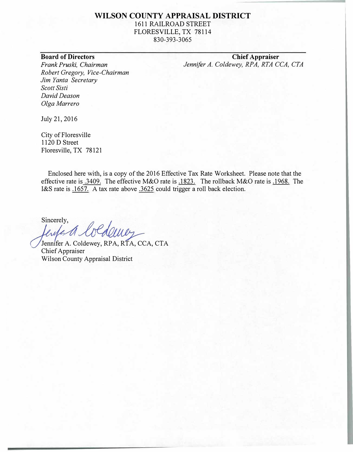#### **WILSON COUNTY APPRAISAL DISTRICT**

1611 RAILROAD STREET FLORESVILLE, TX 78114

830-393-3065

### **Board of Directors**

*Frank Pruski, Chairman Robert Gregory, Vice-Chairman Jim Yanta Secretary Scott Sisti David Deason Olga Marrero* 

July 21, 2016

City of Floresville 1120 D Street Floresville, TX 78121

Enclosed here with, is a copy of the 2016 Effective Tax Rate Worksheet. Please note that the effective rate is .3409. The effective M&O rate is .1823. The rollback M&O rate is .1968. The I&S rate is .1657. A tax rate above .3625 could trigger a roll back election.

Sincerely,

Edonne

Jennifer A. Coldewey, RPA, RTA, CCA, CTA Chief Appraiser Wilson County Appraisal District

**Chief Appraiser**  Jennifer A. Coldewey, RPA, RTA CCA, CTA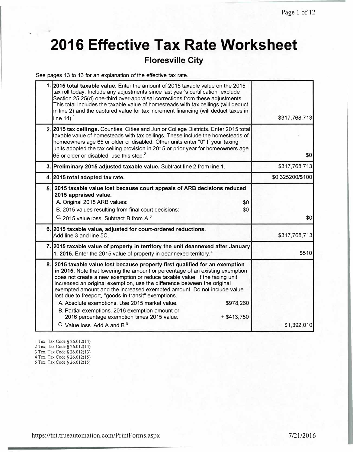# **2016 Effective Tax Rate Worksheet**

### **Floresville City**

See pages 13 to 16 for an explanation of the effective tax rate.

|     | 1. 2015 total taxable value. Enter the amount of 2015 taxable value on the 2015<br>tax roll today. Include any adjustments since last year's certification; exclude<br>Section 25.25(d) one-third over-appraisal corrections from these adjustments.<br>This total includes the taxable value of homesteads with tax ceilings (will deduct<br>in line 2) and the captured value for tax increment financing (will deduct taxes in<br>line $14$ ). <sup>1</sup>                                                                                                                                                                                                                        | \$317,768,713    |
|-----|---------------------------------------------------------------------------------------------------------------------------------------------------------------------------------------------------------------------------------------------------------------------------------------------------------------------------------------------------------------------------------------------------------------------------------------------------------------------------------------------------------------------------------------------------------------------------------------------------------------------------------------------------------------------------------------|------------------|
|     | 2. 2015 tax ceilings. Counties, Cities and Junior College Districts. Enter 2015 total<br>taxable value of homesteads with tax ceilings. These include the homesteads of<br>homeowners age 65 or older or disabled. Other units enter "0" If your taxing<br>units adopted the tax ceiling provision in 2015 or prior year for homeowners age<br>65 or older or disabled, use this step. <sup>2</sup>                                                                                                                                                                                                                                                                                   | \$0              |
|     | 3. Preliminary 2015 adjusted taxable value. Subtract line 2 from line 1.                                                                                                                                                                                                                                                                                                                                                                                                                                                                                                                                                                                                              | \$317,768,713    |
|     | 4. 2015 total adopted tax rate.                                                                                                                                                                                                                                                                                                                                                                                                                                                                                                                                                                                                                                                       | \$0.325200/\$100 |
|     | 5. 2015 taxable value lost because court appeals of ARB decisions reduced<br>2015 appraised value.<br>A. Original 2015 ARB values:<br>\$0<br>B. 2015 values resulting from final court decisions:<br>$- $0$<br>C. 2015 value loss. Subtract B from A. <sup>3</sup>                                                                                                                                                                                                                                                                                                                                                                                                                    | \$0              |
|     | 6. 2015 taxable value, adjusted for court-ordered reductions.<br>Add line 3 and line 5C.                                                                                                                                                                                                                                                                                                                                                                                                                                                                                                                                                                                              | \$317,768,713    |
|     | 7. 2015 taxable value of property in territory the unit deannexed after January<br>1, 2015. Enter the 2015 value of property in deannexed territory. <sup>4</sup>                                                                                                                                                                                                                                                                                                                                                                                                                                                                                                                     | \$510            |
| 8.1 | 2015 taxable value lost because property first qualified for an exemption<br>in 2015. Note that lowering the amount or percentage of an existing exemption<br>does not create a new exemption or reduce taxable value. If the taxing unit<br>increased an original exemption, use the difference between the original<br>exempted amount and the increased exempted amount. Do not include value<br>lost due to freeport, "goods-in-transit" exemptions.<br>\$978,260<br>A. Absolute exemptions. Use 2015 market value:<br>B. Partial exemptions. 2016 exemption amount or<br>2016 percentage exemption times 2015 value:<br>$+ $413,750$<br>C. Value loss, Add A and B. <sup>5</sup> | \$1,392,010      |

1 Tex. Tax Code§ 26.012( 14)

2 Tex. Tax Code§ 26.012(14)

3 Tex. Tax Code§ 26.012(13) 4 Tex. Tax Code § 26.012( 15)

5 Tex. Tax Code § 26.012( 15)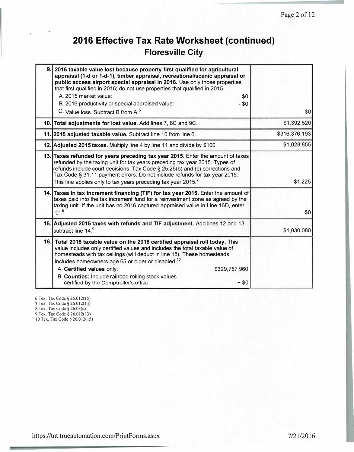# **2016 Effective Tax Rate Worksheet (continued) Floresville City**

| 9. 2015 taxable value lost because property first qualified for agricultural<br>appraisal (1-d or 1-d-1), timber appraisal, recreational/scenic appraisal or<br>public access airport special appraisal in 2016. Use only those properties<br>that first qualified in 2016; do not use properties that qualified in 2015.<br>A. 2015 market value:<br>\$0<br>B. 2016 productivity or special appraised value:<br>$- $0$<br>C. Value loss. Subtract B from A. <sup>6</sup> | \$0           |
|---------------------------------------------------------------------------------------------------------------------------------------------------------------------------------------------------------------------------------------------------------------------------------------------------------------------------------------------------------------------------------------------------------------------------------------------------------------------------|---------------|
| 10. Total adjustments for lost value. Add lines 7, 8C and 9C.                                                                                                                                                                                                                                                                                                                                                                                                             | \$1,392,520   |
| 11. 2015 adjusted taxable value. Subtract line 10 from line 6.                                                                                                                                                                                                                                                                                                                                                                                                            | \$316,376,193 |
| 12. Adjusted 2015 taxes. Multiply line 4 by line 11 and divide by \$100.                                                                                                                                                                                                                                                                                                                                                                                                  | \$1,028,855   |
| 13. Taxes refunded for years preceding tax year 2015. Enter the amount of taxes<br>refunded by the taxing unit for tax years preceding tax year 2015. Types of<br>refunds include court decisions, Tax Code § 25.25(b) and (c) corrections and<br>Tax Code § 31.11 payment errors. Do not include refunds for tax year 2015.<br>This line applies only to tax years preceding tax year 2015. $7$                                                                          | \$1,225       |
| 14. Taxes in tax increment financing (TIF) for tax year 2015. Enter the amount of<br>taxes paid into the tax increment fund for a reinvestment zone as agreed by the<br>taxing unit. If the unit has no 2016 captured appraised value in Line 16D, enter<br>"0". <sup>8</sup>                                                                                                                                                                                             | 10            |
| 15. Adjusted 2015 taxes with refunds and TIF adjustment. Add lines 12 and 13,<br>subtract line 14.9                                                                                                                                                                                                                                                                                                                                                                       | \$1,030,080   |
| 16. Total 2016 taxable value on the 2016 certified appraisal roll today. This<br>value includes only certified values and includes the total taxable value of<br>homesteads with tax ceilings (will deduct in line 18). These homesteads<br>includes homeowners age 65 or older or disabled. <sup>10</sup><br>A. Certified values only:<br>\$329,757,960<br>B. Counties: Include railroad rolling stock values<br>certified by the Comptroller's office:<br>$+$ \$0       |               |

6 Tex. Tax Code§ 26.012(15) 7 Tex. Tax Code§ 26.012(13) 8 Tex. Tax Code § 26.03(c) 9 Tex. Tax Code§ 26.012(13)

10 Tex. Tax Code§ 26.012(15)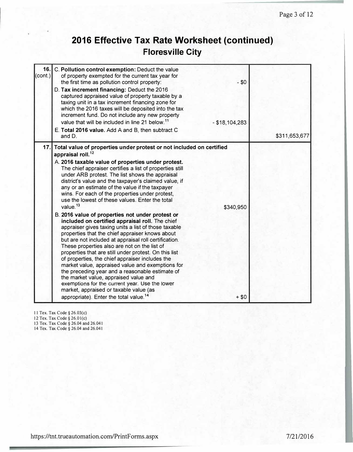# **2016 Effective Tax Rate Worksheet (continued) Floresville City**

| 16.<br>(cont.) | C. Pollution control exemption: Deduct the value<br>of property exempted for the current tax year for<br>the first time as pollution control property:<br>D. Tax increment financing: Deduct the 2016<br>captured appraised value of property taxable by a<br>taxing unit in a tax increment financing zone for<br>which the 2016 taxes will be deposited into the tax<br>increment fund. Do not include any new property<br>value that will be included in line 21 below. <sup>11</sup><br>E. Total 2016 value. Add A and B, then subtract C<br>and D.                                                                                                                                                                                                                                                                                                                                                                                                                                                                                                                                                                                                                                                                                                       | $-$ \$0<br>$-$ \$18,104,283 | \$311,653,677 |
|----------------|---------------------------------------------------------------------------------------------------------------------------------------------------------------------------------------------------------------------------------------------------------------------------------------------------------------------------------------------------------------------------------------------------------------------------------------------------------------------------------------------------------------------------------------------------------------------------------------------------------------------------------------------------------------------------------------------------------------------------------------------------------------------------------------------------------------------------------------------------------------------------------------------------------------------------------------------------------------------------------------------------------------------------------------------------------------------------------------------------------------------------------------------------------------------------------------------------------------------------------------------------------------|-----------------------------|---------------|
| 17.            | Total value of properties under protest or not included on certified<br>appraisal roll. <sup>12</sup><br>A. 2016 taxable value of properties under protest.<br>The chief appraiser certifies a list of properties still<br>under ARB protest. The list shows the appraisal<br>district's value and the taxpayer's claimed value, if<br>any or an estimate of the value if the taxpayer<br>wins. For each of the properties under protest,<br>use the lowest of these values. Enter the total<br>value. <sup>13</sup><br>B. 2016 value of properties not under protest or<br>included on certified appraisal roll. The chief<br>appraiser gives taxing units a list of those taxable<br>properties that the chief appraiser knows about<br>but are not included at appraisal roll certification.<br>These properties also are not on the list of<br>properties that are still under protest. On this list<br>of properties, the chief appraiser includes the<br>market value, appraised value and exemptions for<br>the preceding year and a reasonable estimate of<br>the market value, appraised value and<br>exemptions for the current year. Use the lower<br>market, appraised or taxable value (as<br>appropriate). Enter the total value. <sup>14</sup> | \$340,950<br>$+ $0$         |               |

11 Tex. Tax Code § 26.03(c)

12 Tex. Tax Code§ 26.0 l(c)

13 Tex. Tax Code§ 26.04 and 26.041

14 Tex. Tax Code § 26.04 and 26.041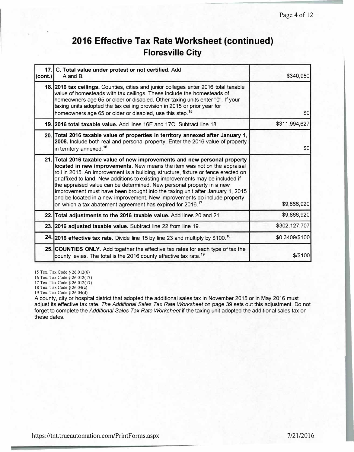## **2016 Effective Tax Rate Worksheet (continued) Floresville City**

| 17.<br>(cont.) | C. Total value under protest or not certified. Add<br>A and B.                                                                                                                                                                                                                                                                                                                                                                                                                                                                                                                                                                                 | \$340,950      |
|----------------|------------------------------------------------------------------------------------------------------------------------------------------------------------------------------------------------------------------------------------------------------------------------------------------------------------------------------------------------------------------------------------------------------------------------------------------------------------------------------------------------------------------------------------------------------------------------------------------------------------------------------------------------|----------------|
|                | 18. 2016 tax ceilings. Counties, cities and junior colleges enter 2016 total taxable<br>value of homesteads with tax ceilings. These include the homesteads of<br>homeowners age 65 or older or disabled. Other taxing units enter "0". If your<br>taxing units adopted the tax ceiling provision in 2015 or prior year for<br>homeowners age 65 or older or disabled, use this step. <sup>15</sup>                                                                                                                                                                                                                                            | \$0            |
|                | 19.12016 total taxable value. Add lines 16E and 17C. Subtract line 18.                                                                                                                                                                                                                                                                                                                                                                                                                                                                                                                                                                         | \$311,994,627  |
|                | 20. Total 2016 taxable value of properties in territory annexed after January 1,<br>2008. Include both real and personal property. Enter the 2016 value of property<br>in territory annexed. <sup>16</sup>                                                                                                                                                                                                                                                                                                                                                                                                                                     | \$0            |
|                | 21. Total 2016 taxable value of new improvements and new personal property<br>located in new improvements. New means the item was not on the appraisal<br>roll in 2015. An improvement is a building, structure, fixture or fence erected on<br>or affixed to land. New additions to existing improvements may be included if<br>the appraised value can be determined. New personal property in a new<br>improvement must have been brought into the taxing unit after January 1, 2015<br>and be located in a new improvement. New improvements do include property<br>on which a tax abatement agreement has expired for 2016. <sup>17</sup> | \$9,866,920    |
|                | 22. Total adjustments to the 2016 taxable value. Add lines 20 and 21.                                                                                                                                                                                                                                                                                                                                                                                                                                                                                                                                                                          | \$9,866,920    |
|                | 23. 2016 adjusted taxable value. Subtract line 22 from line 19.                                                                                                                                                                                                                                                                                                                                                                                                                                                                                                                                                                                | \$302,127,707  |
|                | 24. 2016 effective tax rate. Divide line 15 by line 23 and multiply by \$100. <sup>18</sup>                                                                                                                                                                                                                                                                                                                                                                                                                                                                                                                                                    | \$0.3409/\$100 |
|                | 25. COUNTIES ONLY. Add together the effective tax rates for each type of tax the<br>county levies. The total is the 2016 county effective tax rate. <sup>19</sup>                                                                                                                                                                                                                                                                                                                                                                                                                                                                              | \$100          |

15 Tex. Tax Code§ 26.012(6)

16 Tex. Tax Code§ 26.012(17)

17 Tex. Tax Code§ 26.012(17)

18 Tex. Tax Code§ 26.04(c)

19 Tex. Tax Code§ 26.04(d)

A county, city or hospital district that adopted the additional sales tax in November 2015 or in May 2016 must adjust its effective tax rate. *The Additional Sales Tax Rate Worksheet* on page 39 sets out this adjustment. Do not forget to complete the *Additional Sales Tax Rate Worksheet* if the taxing unit adopted the additional sales tax on these dates.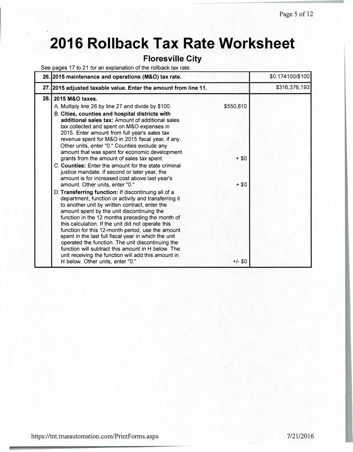# **2016 Rollback Tax Rate Worksheet**

## **Floresville City**

See pages 17 to 21 for an explanation of the rollback tax rate.

|      | 26. 2015 maintenance and operations (M&O) tax rate.                                                                                                                                                                                                                                                                                                                                                                                                                                                                                                                                                                                                                                                                                                                                                                                                                                  |                               | \$0.174100/\$100 |
|------|--------------------------------------------------------------------------------------------------------------------------------------------------------------------------------------------------------------------------------------------------------------------------------------------------------------------------------------------------------------------------------------------------------------------------------------------------------------------------------------------------------------------------------------------------------------------------------------------------------------------------------------------------------------------------------------------------------------------------------------------------------------------------------------------------------------------------------------------------------------------------------------|-------------------------------|------------------|
|      | 27. 2015 adjusted taxable value. Enter the amount from line 11.                                                                                                                                                                                                                                                                                                                                                                                                                                                                                                                                                                                                                                                                                                                                                                                                                      |                               | \$316,376,193    |
| 28.1 | 2015 M&O taxes.<br>A. Multiply line 26 by line 27 and divide by \$100.<br>B. Cities, counties and hospital districts with<br>additional sales tax: Amount of additional sales<br>tax collected and spent on M&O expenses in<br>2015. Enter amount from full year's sales tax<br>revenue spent for M&O in 2015 fiscal year, if any.<br>Other units, enter "0." Counties exclude any<br>amount that was spent for economic development                                                                                                                                                                                                                                                                                                                                                                                                                                                 | \$550,810                     |                  |
|      | grants from the amount of sales tax spent.<br>C. Counties: Enter the amount for the state criminal<br>justice mandate. If second or later year, the<br>amount is for increased cost above last year's<br>amount. Other units, enter "0."<br>D. Transferring function: If discontinuing all of a<br>department, function or activity and transferring it<br>to another unit by written contract, enter the<br>amount spent by the unit discontinuing the<br>function in the 12 months preceding the month of<br>this calculation. If the unit did not operate this<br>function for this 12-month period, use the amount<br>spent in the last full fiscal year in which the unit<br>operated the function. The unit discontinuing the<br>function will subtract this amount in H below. The<br>unit receiving the function will add this amount in<br>H below. Other units, enter "0." | $+ $0$<br>$+ $0$<br>$+/-$ \$0 |                  |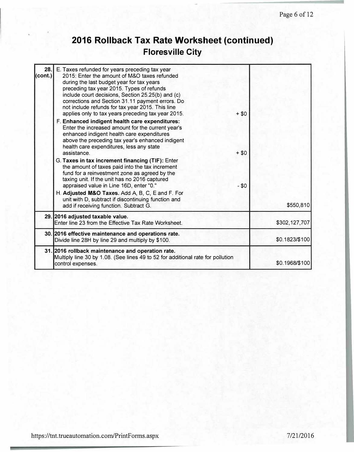# **2016 Rollback Tax Rate Worksheet (continued) Floresville City**

| 28.<br>$\left($ cont.) | E. Taxes refunded for years preceding tax year<br>2015: Enter the amount of M&O taxes refunded<br>during the last budget year for tax years<br>preceding tax year 2015. Types of refunds<br>include court decisions, Section 25.25(b) and (c)<br>corrections and Section 31.11 payment errors. Do<br>not include refunds for tax year 2015. This line<br>applies only to tax years preceding tax year 2015.<br>F. Enhanced indigent health care expenditures:<br>Enter the increased amount for the current year's<br>enhanced indigent health care expenditures<br>above the preceding tax year's enhanced indigent<br>health care expenditures, less any state<br>assistance.<br>G. Taxes in tax increment financing (TIF): Enter<br>the amount of taxes paid into the tax increment<br>fund for a reinvestment zone as agreed by the<br>taxing unit. If the unit has no 2016 captured<br>appraised value in Line 16D, enter "0."<br>H. Adjusted M&O Taxes. Add A, B, C, E and F. For<br>unit with D, subtract if discontinuing function and | $+ $0$<br>$+ $0$<br>$-50$ |                |
|------------------------|------------------------------------------------------------------------------------------------------------------------------------------------------------------------------------------------------------------------------------------------------------------------------------------------------------------------------------------------------------------------------------------------------------------------------------------------------------------------------------------------------------------------------------------------------------------------------------------------------------------------------------------------------------------------------------------------------------------------------------------------------------------------------------------------------------------------------------------------------------------------------------------------------------------------------------------------------------------------------------------------------------------------------------------------|---------------------------|----------------|
|                        | add if receiving function. Subtract G.                                                                                                                                                                                                                                                                                                                                                                                                                                                                                                                                                                                                                                                                                                                                                                                                                                                                                                                                                                                                         |                           | \$550,810      |
|                        | 29. 2016 adjusted taxable value.<br>Enter line 23 from the Effective Tax Rate Worksheet.                                                                                                                                                                                                                                                                                                                                                                                                                                                                                                                                                                                                                                                                                                                                                                                                                                                                                                                                                       |                           | \$302,127,707  |
|                        | 30. 2016 effective maintenance and operations rate.<br>Divide line 28H by line 29 and multiply by \$100.                                                                                                                                                                                                                                                                                                                                                                                                                                                                                                                                                                                                                                                                                                                                                                                                                                                                                                                                       |                           | \$0.1823/\$100 |
|                        | 31. 2016 rollback maintenance and operation rate.<br>Multiply line 30 by 1.08. (See lines 49 to 52 for additional rate for pollution<br>control expenses.                                                                                                                                                                                                                                                                                                                                                                                                                                                                                                                                                                                                                                                                                                                                                                                                                                                                                      |                           | \$0.1968/\$100 |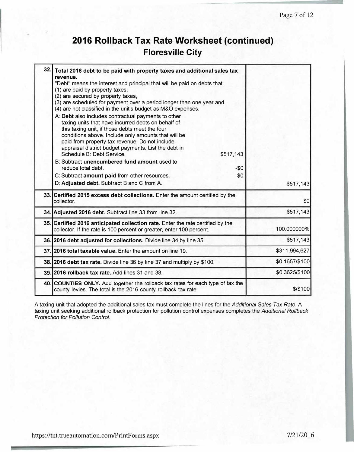## **2016 Rollback Tax Rate Worksheet (continued) Floresville City**

| 32. | Total 2016 debt to be paid with property taxes and additional sales tax<br>revenue.<br>"Debt" means the interest and principal that will be paid on debts that:<br>(1) are paid by property taxes,<br>(2) are secured by property taxes,<br>(3) are scheduled for payment over a period longer than one year and<br>(4) are not classified in the unit's budget as M&O expenses.<br>A: Debt also includes contractual payments to other<br>taxing units that have incurred debts on behalf of<br>this taxing unit, if those debts meet the four<br>conditions above. Include only amounts that will be<br>paid from property tax revenue. Do not include<br>appraisal district budget payments. List the debt in<br>Schedule B: Debt Service.<br>\$517,143<br>B: Subtract unencumbered fund amount used to<br>$-50$<br>reduce total debt.<br>$-50$<br>C: Subtract amount paid from other resources.<br>D: Adjusted debt. Subtract B and C from A. | \$517,143      |
|-----|---------------------------------------------------------------------------------------------------------------------------------------------------------------------------------------------------------------------------------------------------------------------------------------------------------------------------------------------------------------------------------------------------------------------------------------------------------------------------------------------------------------------------------------------------------------------------------------------------------------------------------------------------------------------------------------------------------------------------------------------------------------------------------------------------------------------------------------------------------------------------------------------------------------------------------------------------|----------------|
|     | 33. Certified 2015 excess debt collections. Enter the amount certified by the<br>collector.                                                                                                                                                                                                                                                                                                                                                                                                                                                                                                                                                                                                                                                                                                                                                                                                                                                       | \$0            |
|     | 34. Adjusted 2016 debt. Subtract line 33 from line 32.                                                                                                                                                                                                                                                                                                                                                                                                                                                                                                                                                                                                                                                                                                                                                                                                                                                                                            | \$517,143      |
|     | 35. Certified 2016 anticipated collection rate. Enter the rate certified by the<br>collector. If the rate is 100 percent or greater, enter 100 percent.                                                                                                                                                                                                                                                                                                                                                                                                                                                                                                                                                                                                                                                                                                                                                                                           | 100.000000%    |
|     | 36. 2016 debt adjusted for collections. Divide line 34 by line 35.                                                                                                                                                                                                                                                                                                                                                                                                                                                                                                                                                                                                                                                                                                                                                                                                                                                                                | \$517,143      |
|     | 37.12016 total taxable value. Enter the amount on line 19.                                                                                                                                                                                                                                                                                                                                                                                                                                                                                                                                                                                                                                                                                                                                                                                                                                                                                        | \$311,994,627  |
|     | 38. 2016 debt tax rate. Divide line 36 by line 37 and multiply by \$100.                                                                                                                                                                                                                                                                                                                                                                                                                                                                                                                                                                                                                                                                                                                                                                                                                                                                          | \$0.1657/\$100 |
|     | 39. 2016 rollback tax rate. Add lines 31 and 38.                                                                                                                                                                                                                                                                                                                                                                                                                                                                                                                                                                                                                                                                                                                                                                                                                                                                                                  | \$0.3625/\$100 |
|     | 40. COUNTIES ONLY. Add together the rollback tax rates for each type of tax the<br>county levies. The total is the 2016 county rollback tax rate.                                                                                                                                                                                                                                                                                                                                                                                                                                                                                                                                                                                                                                                                                                                                                                                                 | \$15100        |

A taxing unit that adopted the additional sales tax must complete the lines for the *Additional Sales Tax Rate.* A taxing unit seeking additional rollback protection for pollution control expenses completes the *Additional Rollback Protection for Pollution Control.*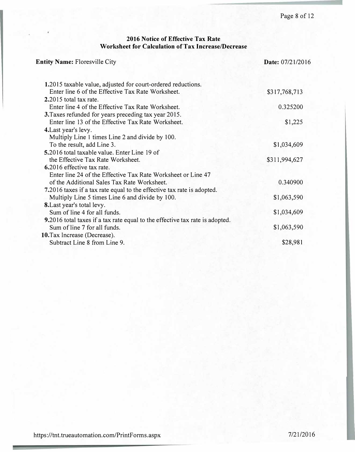#### **2016 Notice of Effective Tax Rate Worksheet for Calculation of Tax Increase/Decrease**

| <b>Entity Name: Floresville City</b>                                         | Date: 07/21/2016 |  |
|------------------------------------------------------------------------------|------------------|--|
| 1.2015 taxable value, adjusted for court-ordered reductions.                 |                  |  |
| Enter line 6 of the Effective Tax Rate Worksheet.                            | \$317,768,713    |  |
| 2.2015 total tax rate.                                                       |                  |  |
| Enter line 4 of the Effective Tax Rate Worksheet.                            | 0.325200         |  |
| 3. Taxes refunded for years preceding tax year 2015.                         |                  |  |
| Enter line 13 of the Effective Tax Rate Worksheet.                           | \$1,225          |  |
| 4. Last year's levy.                                                         |                  |  |
| Multiply Line 1 times Line 2 and divide by 100.                              |                  |  |
| To the result, add Line 3.                                                   | \$1,034,609      |  |
| 5.2016 total taxable value. Enter Line 19 of                                 |                  |  |
| the Effective Tax Rate Worksheet.                                            | \$311,994,627    |  |
| 6.2016 effective tax rate.                                                   |                  |  |
| Enter line 24 of the Effective Tax Rate Worksheet or Line 47                 |                  |  |
| of the Additional Sales Tax Rate Worksheet.                                  | 0.340900         |  |
| 7.2016 taxes if a tax rate equal to the effective tax rate is adopted.       |                  |  |
| Multiply Line 5 times Line 6 and divide by 100.                              | \$1,063,590      |  |
| 8. Last year's total levy.                                                   |                  |  |
| Sum of line 4 for all funds.                                                 | \$1,034,609      |  |
| 9.2016 total taxes if a tax rate equal to the effective tax rate is adopted. |                  |  |
| Sum of line 7 for all funds.                                                 | \$1,063,590      |  |
| 10. Tax Increase (Decrease).                                                 |                  |  |
| Subtract Line 8 from Line 9.                                                 | \$28,981         |  |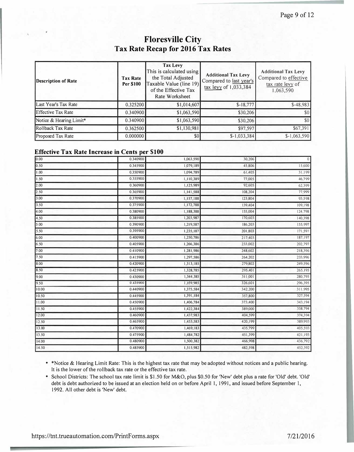## **Floresville City Tax Rate Recap for 2016 Tax Rates**

| Description of Rate       | <b>Tax Rate</b><br>Per \$100 | Tax Levy<br>This is calculated using<br>the Total Adjusted<br>Taxable Value (line 19)<br>of the Effective Tax<br>Rate Worksheet | <b>Additional Tax Levy</b><br>Compared to last year's<br>tax levy of 1,033,384 | <b>Additional Tax Levy</b><br>Compared to effective<br>tax rate levy of<br>1,063,590 |
|---------------------------|------------------------------|---------------------------------------------------------------------------------------------------------------------------------|--------------------------------------------------------------------------------|--------------------------------------------------------------------------------------|
| Last Year's Tax Rate      | 0.325200                     | \$1,014,607                                                                                                                     | $$-18,777$                                                                     | $$-48,983$                                                                           |
| <b>Effective Tax Rate</b> | 0.340900                     | \$1,063,590                                                                                                                     | \$30,206                                                                       | \$0                                                                                  |
| Notice & Hearing Limit*   | 0.340900                     | \$1,063,590                                                                                                                     | \$30,206                                                                       |                                                                                      |
| Rollback Tax Rate         | 0.362500                     | \$1,130,981                                                                                                                     | \$97,597                                                                       | \$67,391                                                                             |
| Proposed Tax Rate         | 0.000000                     | \$0                                                                                                                             | $$-1,033,384$                                                                  | $$-1,063,590$                                                                        |

#### **Effective Tax Rate Increase in Cents per \$100**

| 0.00  | 0.340900 | 1,063,590 | 30,206  | 0       |
|-------|----------|-----------|---------|---------|
| 0.50  | 0.345900 | 1,079,189 | 45,806  | 15,600  |
| 1.00  | 0.350900 | 1,094,789 | 61,405  | 31,199  |
| 1.50  | 0.355900 | 1,110,389 | 77,005  | 46,799  |
| 2.00  | 0.360900 | 1,125,989 | 92,605  | 62,399  |
| 2.50  | 0.365900 | 1,141,588 | 108,204 | 77,999  |
| 3.00  | 0.370900 | 1,157,188 | 123,804 | 93,598  |
| 3.50  | 0.375900 | 1,172,788 | 139,404 | 109,198 |
| 4.00  | 0.380900 | 1,188,388 | 155,004 | 124,798 |
| 4.50  | 0.385900 | 1,203,987 | 170,603 | 140,398 |
| 5.00  | 0.390900 | 1,219,587 | 186,203 | 155,997 |
| 5.50  | 0.395900 | 1,235,187 | 201,803 | 171,597 |
| 6.00  | 0.400900 | 1,250,786 | 217,403 | 187,197 |
| 6.50  | 0.405900 | 1,266,386 | 233,002 | 202,797 |
| 7.00  | 0.410900 | 1,281,986 | 248,602 | 218,396 |
| 7.50  | 0.415900 | 1,297,586 | 264,202 | 233,996 |
| 8.00  | 0.420900 | 1,313,185 | 279,802 | 249,596 |
| 8.50  | 0.425900 | 1,328,785 | 295,401 | 265,195 |
| 9.00  | 0.430900 | 1,344,385 | 311,001 | 280,795 |
| 9.50  | 0.435900 | 1,359,985 | 326,601 | 296,395 |
| 10.00 | 0.440900 | 1,375,584 | 342,200 | 311,995 |
| 10.50 | 0.445900 | 1,391,184 | 357,800 | 327,594 |
| 11.00 | 0.450900 | 1,406,784 | 373,400 | 343,194 |
| 11.50 | 0.455900 | 1,422,384 | 389,000 | 358,794 |
| 12.00 | 0.460900 | 1,437,983 | 404,599 | 374,394 |
| 12.50 | 0.465900 | 1,453,583 | 420,199 | 389,993 |
| 13.00 | 0.470900 | 1,469,183 | 435,799 | 405,593 |
| 13.50 | 0.475900 | 1,484,782 | 451,399 | 421,193 |
| 14.00 | 0.480900 | 1,500,382 | 466,998 | 436,792 |
| 14.50 | 0.485900 | 1,515,982 | 482,598 | 452,392 |

• \*Notice & Hearing Limit Rate: This is the highest tax rate that may be adopted without notices and a public hearing. lt is the lower of the rollback tax rate or the effective tax rate.

• School Districts: The school tax rate limit is \$1.50 for M&O, plus \$0.50 for 'New' debt plus a rate for 'Old' debt. 'Old' debt is debt authorized to be issued at an election held on or before April I, 1991, and issued before September I, 1992. All other debt is 'New' debt.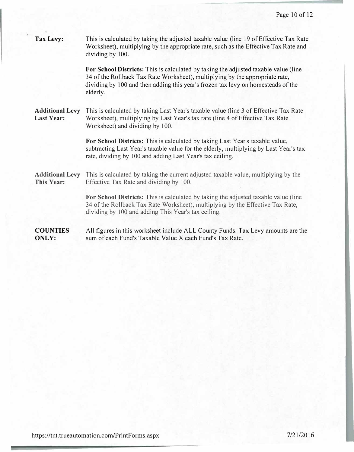| <b>Tax Levy:</b>                            | This is calculated by taking the adjusted taxable value (line 19 of Effective Tax Rate<br>Worksheet), multiplying by the appropriate rate, such as the Effective Tax Rate and<br>dividing by 100.                                                                   |
|---------------------------------------------|---------------------------------------------------------------------------------------------------------------------------------------------------------------------------------------------------------------------------------------------------------------------|
|                                             | For School Districts: This is calculated by taking the adjusted taxable value (line<br>34 of the Rollback Tax Rate Worksheet), multiplying by the appropriate rate,<br>dividing by 100 and then adding this year's frozen tax levy on homesteads of the<br>elderly. |
| <b>Additional Levy</b><br><b>Last Year:</b> | This is calculated by taking Last Year's taxable value (line 3 of Effective Tax Rate<br>Worksheet), multiplying by Last Year's tax rate (line 4 of Effective Tax Rate<br>Worksheet) and dividing by 100.                                                            |
|                                             | For School Districts: This is calculated by taking Last Year's taxable value,<br>subtracting Last Year's taxable value for the elderly, multiplying by Last Year's tax<br>rate, dividing by 100 and adding Last Year's tax ceiling.                                 |
| <b>Additional Levy</b><br>This Year:        | This is calculated by taking the current adjusted taxable value, multiplying by the<br>Effective Tax Rate and dividing by 100.                                                                                                                                      |
|                                             | For School Districts: This is calculated by taking the adjusted taxable value (line<br>34 of the Rollback Tax Rate Worksheet), multiplying by the Effective Tax Rate,<br>dividing by 100 and adding This Year's tax ceiling.                                        |
| <b>COUNTIES</b><br><b>ONLY:</b>             | All figures in this worksheet include ALL County Funds. Tax Levy amounts are the<br>sum of each Fund's Taxable Value X each Fund's Tax Rate.                                                                                                                        |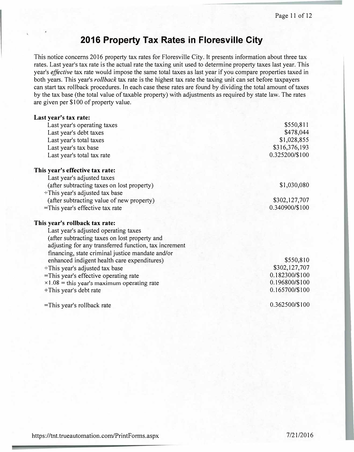## **2016 Property Tax Rates in Floresville City**

This notice concerns 2016 property tax rates for Floresville City. It presents information about three tax rates. Last year's tax rate is the actual rate the taxing unit used to determine property taxes last year. This year's *effective* tax rate would impose the same total taxes as last year if you compare properties taxed in both years. This year's *rollback* tax rate is the highest tax rate the taxing unit can set before taxpayers can start tax rollback procedures. In each case these rates are found by dividing the total amount of taxes by the tax base (the total value of taxable property) with adjustments as required by state law. The rates are given per \$100 of property value.

| Last year's tax rate:                                 |                |
|-------------------------------------------------------|----------------|
| Last year's operating taxes                           | \$550,811      |
| Last year's debt taxes                                | \$478,044      |
| Last year's total taxes                               | \$1,028,855    |
| Last year's tax base                                  | \$316,376,193  |
| Last year's total tax rate                            | 0.325200/\$100 |
| This year's effective tax rate:                       |                |
| Last year's adjusted taxes                            |                |
| (after subtracting taxes on lost property)            | \$1,030,080    |
| ÷This year's adjusted tax base                        |                |
| (after subtracting value of new property)             | \$302,127,707  |
| =This year's effective tax rate                       | 0.340900/\$100 |
| This year's rollback tax rate:                        |                |
| Last year's adjusted operating taxes                  |                |
| (after subtracting taxes on lost property and         |                |
| adjusting for any transferred function, tax increment |                |
| financing, state criminal justice mandate and/or      |                |
| enhanced indigent health care expenditures)           | \$550,810      |
| ÷This year's adjusted tax base                        | \$302,127,707  |
| =This year's effective operating rate                 | 0.182300/\$100 |
| $\times$ 1.08 = this year's maximum operating rate    | 0.196800/\$100 |
| +This year's debt rate                                | 0.165700/\$100 |
| =This year's rollback rate                            | 0.362500/\$100 |
|                                                       |                |